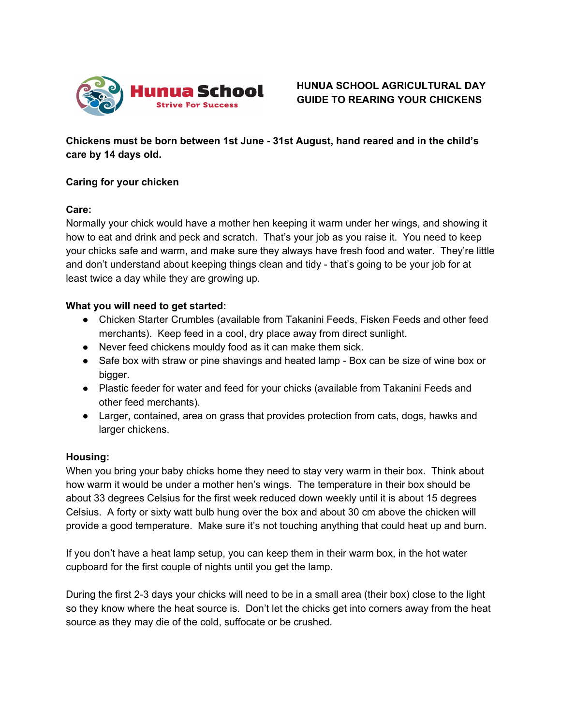

**Chickens must be born between 1st June - 31st August, hand reared and in the child's care by 14 days old.**

# **Caring for your chicken**

# **Care:**

Normally your chick would have a mother hen keeping it warm under her wings, and showing it how to eat and drink and peck and scratch. That's your job as you raise it. You need to keep your chicks safe and warm, and make sure they always have fresh food and water. They're little and don't understand about keeping things clean and tidy - that's going to be your job for at least twice a day while they are growing up.

# **What you will need to get started:**

- **●** Chicken Starter Crumbles (available from Takanini Feeds, Fisken Feeds and other feed merchants). Keep feed in a cool, dry place away from direct sunlight.
- **●** Never feed chickens mouldy food as it can make them sick.
- **●** Safe box with straw or pine shavings and heated lamp Box can be size of wine box or bigger.
- **●** Plastic feeder for water and feed for your chicks (available from Takanini Feeds and other feed merchants).
- **●** Larger, contained, area on grass that provides protection from cats, dogs, hawks and larger chickens.

## **Housing:**

When you bring your baby chicks home they need to stay very warm in their box. Think about how warm it would be under a mother hen's wings. The temperature in their box should be about 33 degrees Celsius for the first week reduced down weekly until it is about 15 degrees Celsius. A forty or sixty watt bulb hung over the box and about 30 cm above the chicken will provide a good temperature. Make sure it's not touching anything that could heat up and burn.

If you don't have a heat lamp setup, you can keep them in their warm box, in the hot water cupboard for the first couple of nights until you get the lamp.

During the first 2-3 days your chicks will need to be in a small area (their box) close to the light so they know where the heat source is. Don't let the chicks get into corners away from the heat source as they may die of the cold, suffocate or be crushed.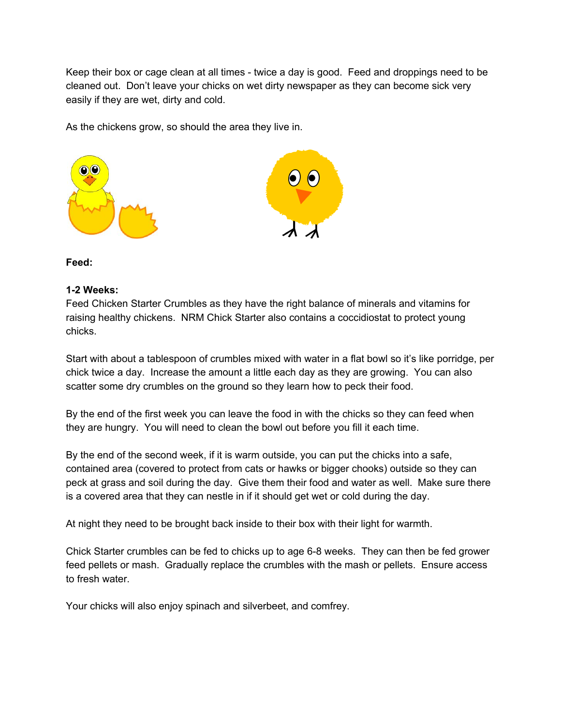Keep their box or cage clean at all times - twice a day is good. Feed and droppings need to be cleaned out. Don't leave your chicks on wet dirty newspaper as they can become sick very easily if they are wet, dirty and cold.

As the chickens grow, so should the area they live in.



## **Feed:**

#### **1-2 Weeks:**

Feed Chicken Starter Crumbles as they have the right balance of minerals and vitamins for raising healthy chickens. NRM Chick Starter also contains a coccidiostat to protect young chicks.

Start with about a tablespoon of crumbles mixed with water in a flat bowl so it's like porridge, per chick twice a day. Increase the amount a little each day as they are growing. You can also scatter some dry crumbles on the ground so they learn how to peck their food.

By the end of the first week you can leave the food in with the chicks so they can feed when they are hungry. You will need to clean the bowl out before you fill it each time.

By the end of the second week, if it is warm outside, you can put the chicks into a safe, contained area (covered to protect from cats or hawks or bigger chooks) outside so they can peck at grass and soil during the day. Give them their food and water as well. Make sure there is a covered area that they can nestle in if it should get wet or cold during the day.

At night they need to be brought back inside to their box with their light for warmth.

Chick Starter crumbles can be fed to chicks up to age 6-8 weeks. They can then be fed grower feed pellets or mash. Gradually replace the crumbles with the mash or pellets. Ensure access to fresh water.

Your chicks will also enjoy spinach and silverbeet, and comfrey.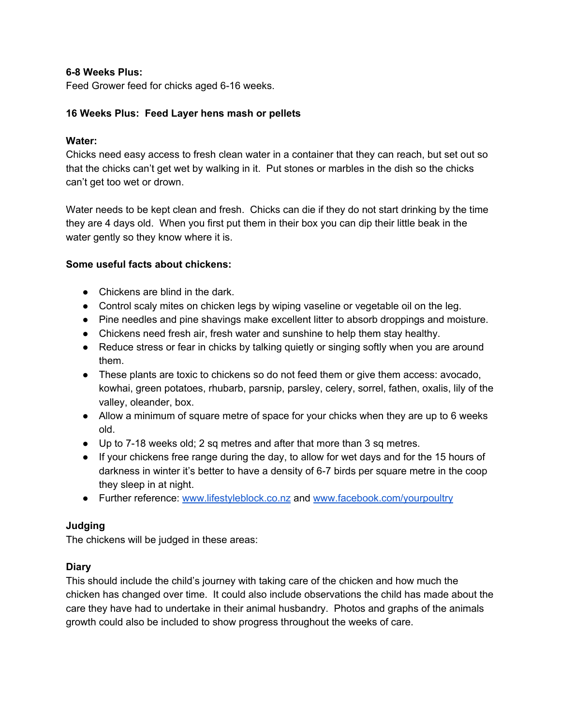# **6-8 Weeks Plus:**

Feed Grower feed for chicks aged 6-16 weeks.

# **16 Weeks Plus: Feed Layer hens mash or pellets**

### **Water:**

Chicks need easy access to fresh clean water in a container that they can reach, but set out so that the chicks can't get wet by walking in it. Put stones or marbles in the dish so the chicks can't get too wet or drown.

Water needs to be kept clean and fresh. Chicks can die if they do not start drinking by the time they are 4 days old. When you first put them in their box you can dip their little beak in the water gently so they know where it is.

## **Some useful facts about chickens:**

- Chickens are blind in the dark.
- Control scaly mites on chicken legs by wiping vaseline or vegetable oil on the leg.
- Pine needles and pine shavings make excellent litter to absorb droppings and moisture.
- Chickens need fresh air, fresh water and sunshine to help them stay healthy.
- Reduce stress or fear in chicks by talking quietly or singing softly when you are around them.
- These plants are toxic to chickens so do not feed them or give them access: avocado, kowhai, green potatoes, rhubarb, parsnip, parsley, celery, sorrel, fathen, oxalis, lily of the valley, oleander, box.
- Allow a minimum of square metre of space for your chicks when they are up to 6 weeks old.
- Up to 7-18 weeks old; 2 sq metres and after that more than 3 sq metres.
- If your chickens free range during the day, to allow for wet days and for the 15 hours of darkness in winter it's better to have a density of 6-7 birds per square metre in the coop they sleep in at night.
- Further reference: [www.lifestyleblock.co.nz](http://www.lifestyleblock.co.nz/) and [www.facebook.com/yourpoultry](http://www.facebook.com/yourpoultry)

## **Judging**

The chickens will be judged in these areas:

## **Diary**

This should include the child's journey with taking care of the chicken and how much the chicken has changed over time. It could also include observations the child has made about the care they have had to undertake in their animal husbandry. Photos and graphs of the animals growth could also be included to show progress throughout the weeks of care.